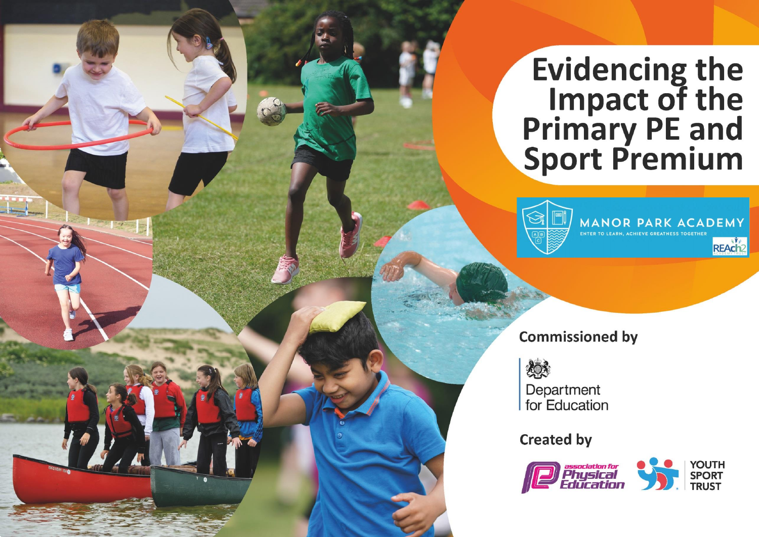## **Evidencing the<br>Impact of the<br>Primary PE and<br>Sport Premium**



**MANOR PARK ACADEMY**<br>ENTER TO LEARN, ACHIEVE GREATNESS TOGETHER REAch<sup>2</sup>

**Commissioned by** 



Department for Education

**Created by** 

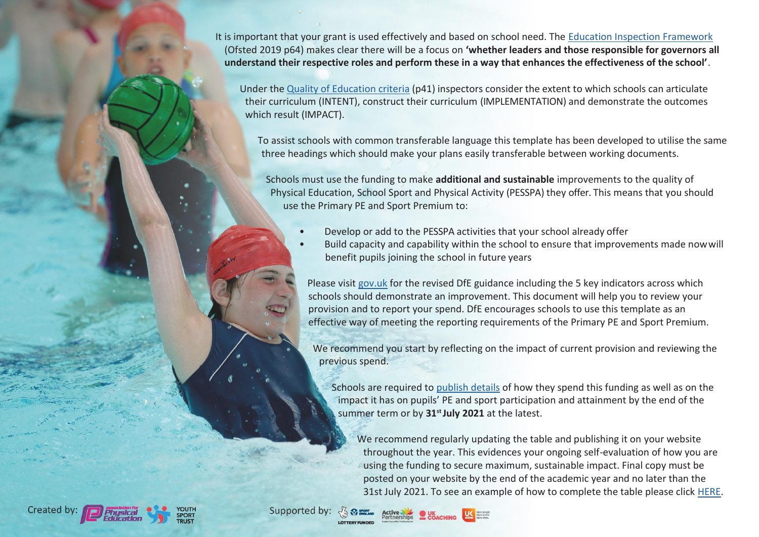It is important that your grant is used effectively and based on school need. The [Education Inspection Framework](https://assets.publishing.service.gov.uk/government/uploads/system/uploads/attachment_data/file/843108/School_inspection_handbook_-_section_5.pdf) (Ofsted 2019 p64) makes clear there will be a focus on **'whether leaders and those responsible for governors all understand their respective roles and perform these in a way that enhances the effectiveness of the school'**.

Under the Quality of [Education](https://assets.publishing.service.gov.uk/government/uploads/system/uploads/attachment_data/file/843108/School_inspection_handbook_-_section_5.pdf) criteria (p41) inspectors consider the extent to which schools can articulate their curriculum (INTENT), construct their curriculum (IMPLEMENTATION) and demonstrate the outcomes which result (IMPACT).

To assist schools with common transferable language this template has been developed to utilise the same three headings which should make your plans easily transferable between working documents.

Schools must use the funding to make **additional and sustainable** improvements to the quality of Physical Education, School Sport and Physical Activity (PESSPA) they offer. This means that you should use the Primary PE and Sport Premium to:

- Develop or add to the PESSPA activities that your school already offer
- Build capacity and capability within the school to ensure that improvements made nowwill benefit pupils joining the school in future years

Please visit [gov.uk](https://www.gov.uk/guidance/pe-and-sport-premium-for-primary-schools) for the revised DfE guidance including the 5 key indicators across which schools should demonstrate an improvement. This document will help you to review your provision and to report your spend. DfE encourages schools to use this template as an effective way of meeting the reporting requirements of the Primary PE and Sport Premium.

We recommend you start by reflecting on the impact of current provision and reviewing the previous spend.

Schools are required to [publish details](https://www.gov.uk/guidance/what-maintained-schools-must-publish-online#pe-and-sport-premium-for-primary-schools) of how they spend this funding as well as on the impact it has on pupils' PE and sport participation and attainment by the end of the summer term or by **31st July 2021** at the latest.

We recommend regularly updating the table and publishing it on your website throughout the year. This evidences your ongoing self-evaluation of how you are using the funding to secure maximum, sustainable impact. Final copy must be posted on your website by the end of the academic year and no later than the 31st July 2021. To see an example of how to complete the table please click [HERE.](http://www.afpe.org.uk/physical-education/wp-content/uploads/afPE-Example-Template-Indicator-2018-Final.pdf)



Supported by:

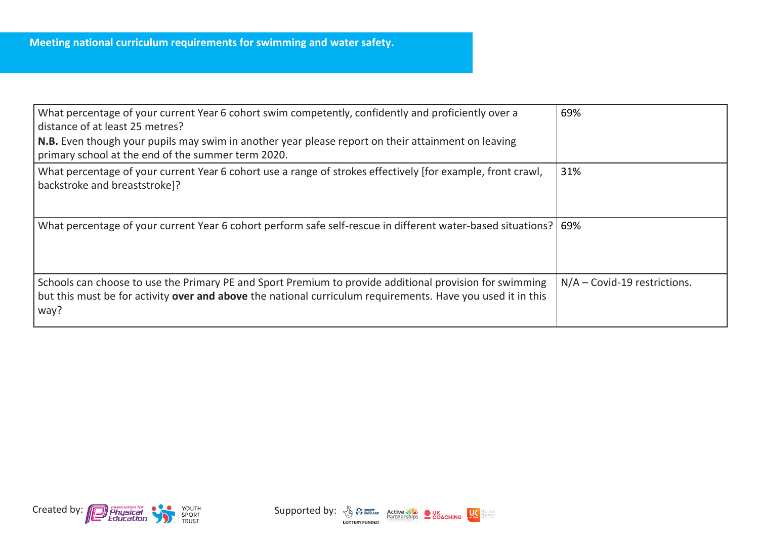| What percentage of your current Year 6 cohort swim competently, confidently and proficiently over a<br>distance of at least 25 metres?                                                                                         | 69%                            |
|--------------------------------------------------------------------------------------------------------------------------------------------------------------------------------------------------------------------------------|--------------------------------|
| N.B. Even though your pupils may swim in another year please report on their attainment on leaving<br>primary school at the end of the summer term 2020.                                                                       |                                |
| What percentage of your current Year 6 cohort use a range of strokes effectively [for example, front crawl,<br>backstroke and breaststroke]?                                                                                   | 31%                            |
| What percentage of your current Year 6 cohort perform safe self-rescue in different water-based situations?   69%                                                                                                              |                                |
| Schools can choose to use the Primary PE and Sport Premium to provide additional provision for swimming<br>but this must be for activity over and above the national curriculum requirements. Have you used it in this<br>way? | $N/A$ – Covid-19 restrictions. |



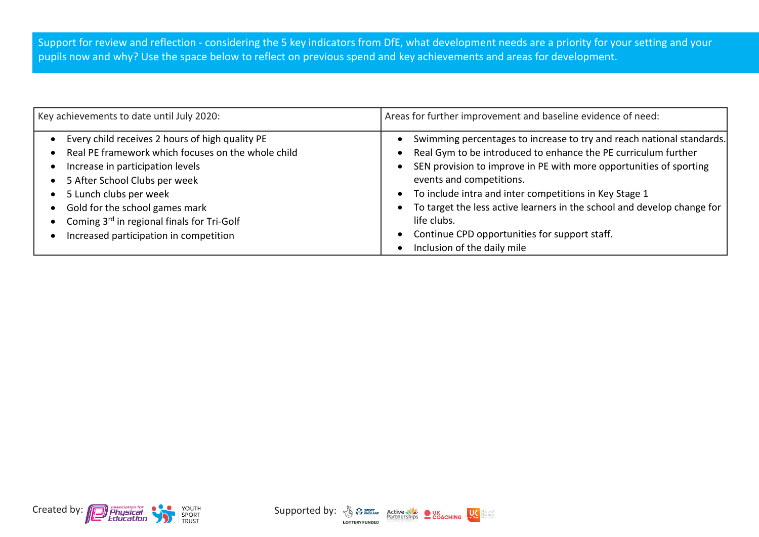Support for review and reflection - considering the 5 key indicators from DfE, what development needs are a priority for your setting and your pupils now and why? Use the space below to reflect on previous spend and key achievements and areas for development.

| Key achievements to date until July 2020:                                                                                                                                                                                                                                                                                      | Areas for further improvement and baseline evidence of need:                                                                                                                                                                                                                                                                                                                                                                                                                  |
|--------------------------------------------------------------------------------------------------------------------------------------------------------------------------------------------------------------------------------------------------------------------------------------------------------------------------------|-------------------------------------------------------------------------------------------------------------------------------------------------------------------------------------------------------------------------------------------------------------------------------------------------------------------------------------------------------------------------------------------------------------------------------------------------------------------------------|
| Every child receives 2 hours of high quality PE<br>Real PE framework which focuses on the whole child<br>Increase in participation levels<br>5 After School Clubs per week<br>5 Lunch clubs per week<br>Gold for the school games mark<br>Coming 3rd in regional finals for Tri-Golf<br>Increased participation in competition | Swimming percentages to increase to try and reach national standards.<br>Real Gym to be introduced to enhance the PE curriculum further<br>SEN provision to improve in PE with more opportunities of sporting<br>events and competitions.<br>To include intra and inter competitions in Key Stage 1<br>To target the less active learners in the school and develop change for<br>life clubs.<br>Continue CPD opportunities for support staff.<br>Inclusion of the daily mile |



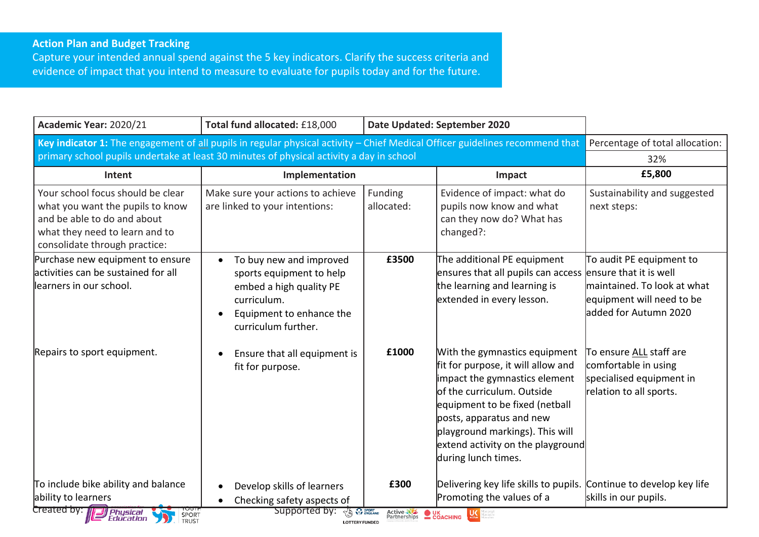## **Action Plan and Budget Tracking**

Capture your intended annual spend against the 5 key indicators. Clarify the success criteria and evidence of impact that you intend to measure to evaluate for pupils today and for the future.

| Academic Year: 2020/21                                                                                                                                                                                                   | Total fund allocated: £18,000                                                                                                                                              |                                        | Date Updated: September 2020                                                                                                                                                                                                                                                                     |                                                                                                               |
|--------------------------------------------------------------------------------------------------------------------------------------------------------------------------------------------------------------------------|----------------------------------------------------------------------------------------------------------------------------------------------------------------------------|----------------------------------------|--------------------------------------------------------------------------------------------------------------------------------------------------------------------------------------------------------------------------------------------------------------------------------------------------|---------------------------------------------------------------------------------------------------------------|
| Key indicator 1: The engagement of all pupils in regular physical activity - Chief Medical Officer guidelines recommend that<br>primary school pupils undertake at least 30 minutes of physical activity a day in school | Percentage of total allocation:                                                                                                                                            |                                        |                                                                                                                                                                                                                                                                                                  |                                                                                                               |
|                                                                                                                                                                                                                          |                                                                                                                                                                            |                                        |                                                                                                                                                                                                                                                                                                  | 32%                                                                                                           |
| Intent                                                                                                                                                                                                                   | Implementation                                                                                                                                                             |                                        | Impact                                                                                                                                                                                                                                                                                           | £5,800                                                                                                        |
| Your school focus should be clear<br>what you want the pupils to know<br>and be able to do and about<br>what they need to learn and to<br>consolidate through practice:                                                  | Make sure your actions to achieve<br>are linked to your intentions:                                                                                                        | Funding<br>allocated:                  | Evidence of impact: what do<br>pupils now know and what<br>can they now do? What has<br>changed?:                                                                                                                                                                                                | Sustainability and suggested<br>next steps:                                                                   |
| Purchase new equipment to ensure<br>activities can be sustained for all<br>llearners in our school.                                                                                                                      | To buy new and improved<br>$\bullet$<br>sports equipment to help<br>embed a high quality PE<br>curriculum.<br>Equipment to enhance the<br>$\bullet$<br>curriculum further. | £3500                                  | The additional PE equipment<br>ensures that all pupils can access ensure that it is well<br>the learning and learning is<br>extended in every lesson.                                                                                                                                            | To audit PE equipment to<br>maintained. To look at what<br>equipment will need to be<br>added for Autumn 2020 |
| Repairs to sport equipment.                                                                                                                                                                                              | Ensure that all equipment is<br>$\bullet$<br>fit for purpose.                                                                                                              | £1000                                  | With the gymnastics equipment<br>fit for purpose, it will allow and<br>impact the gymnastics element<br>lof the curriculum. Outside<br>equipment to be fixed (netball<br>posts, apparatus and new<br>playground markings). This will<br>extend activity on the playground<br>during lunch times. | To ensure ALL staff are<br>comfortable in using<br>specialised equipment in<br>relation to all sports.        |
| To include bike ability and balance                                                                                                                                                                                      | Develop skills of learners                                                                                                                                                 | £300                                   | Delivering key life skills to pupils.                                                                                                                                                                                                                                                            | Continue to develop key life                                                                                  |
| ability to learners                                                                                                                                                                                                      | Checking safety aspects of<br>$\bullet$                                                                                                                                    |                                        | Promoting the values of a                                                                                                                                                                                                                                                                        | skills in our pupils.                                                                                         |
| Created by: <b>Department of the Physical</b><br>SPORT<br>TRUST                                                                                                                                                          | Supported by:<br><b>TAL SPORT</b><br><b>LOTTERY FUNDED</b>                                                                                                                 | Active NE OUK<br>Partnerships COACHING | $U\xi$                                                                                                                                                                                                                                                                                           |                                                                                                               |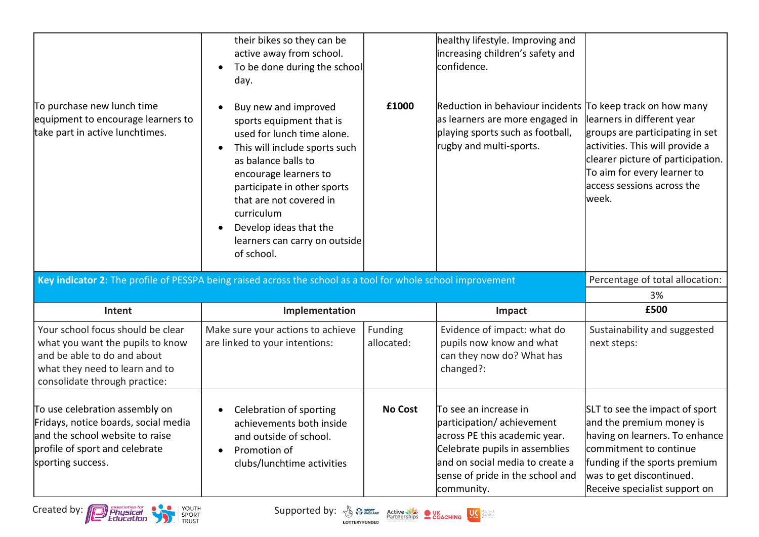| their bikes so they can be<br>active away from school.<br>$\bullet$<br>day.<br>Buy new and improved<br>$\bullet$<br>sports equipment that is<br>used for lunch time alone.<br>This will include sports such<br>$\bullet$<br>as balance balls to<br>encourage learners to<br>participate in other sports<br>that are not covered in<br>curriculum<br>Develop ideas that the<br>$\bullet$<br>of school. | £1000                 | healthy lifestyle. Improving and<br>increasing children's safety and<br>confidence.<br>Reduction in behaviour incidents To keep track on how many<br>as learners are more engaged in<br>playing sports such as football,<br>rugby and multi-sports. | learners in different year<br>groups are participating in set<br>activities. This will provide a<br>clearer picture of participation.<br>To aim for every learner to<br>access sessions across the<br>week. |
|-------------------------------------------------------------------------------------------------------------------------------------------------------------------------------------------------------------------------------------------------------------------------------------------------------------------------------------------------------------------------------------------------------|-----------------------|-----------------------------------------------------------------------------------------------------------------------------------------------------------------------------------------------------------------------------------------------------|-------------------------------------------------------------------------------------------------------------------------------------------------------------------------------------------------------------|
|                                                                                                                                                                                                                                                                                                                                                                                                       |                       |                                                                                                                                                                                                                                                     | Percentage of total allocation:                                                                                                                                                                             |
|                                                                                                                                                                                                                                                                                                                                                                                                       |                       |                                                                                                                                                                                                                                                     | 3%                                                                                                                                                                                                          |
|                                                                                                                                                                                                                                                                                                                                                                                                       |                       |                                                                                                                                                                                                                                                     | £500                                                                                                                                                                                                        |
| Make sure your actions to achieve<br>are linked to your intentions:                                                                                                                                                                                                                                                                                                                                   | Funding<br>allocated: | Evidence of impact: what do<br>pupils now know and what<br>can they now do? What has<br>changed?:                                                                                                                                                   | Sustainability and suggested<br>next steps:                                                                                                                                                                 |
| Celebration of sporting<br>$\bullet$<br>achievements both inside<br>and outside of school.<br>Promotion of<br>$\bullet$<br>clubs/lunchtime activities                                                                                                                                                                                                                                                 | <b>No Cost</b>        | To see an increase in<br>participation/achievement<br>across PE this academic year.<br>Celebrate pupils in assemblies<br>and on social media to create a<br>sense of pride in the school and                                                        | SLT to see the impact of sport<br>and the premium money is<br>having on learners. To enhance<br>commitment to continue<br>funding if the sports premium                                                     |
|                                                                                                                                                                                                                                                                                                                                                                                                       | Implementation        | To be done during the school<br>learners can carry on outside                                                                                                                                                                                       | Key indicator 2: The profile of PESSPA being raised across the school as a tool for whole school improvement<br>Impact                                                                                      |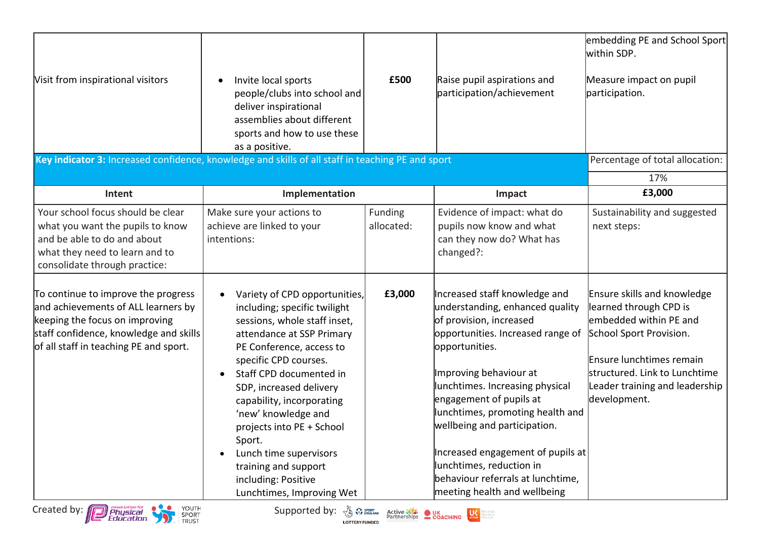| Visit from inspirational visitors<br>Key indicator 3: Increased confidence, knowledge and skills of all staff in teaching PE and sport                                                                                                        | Invite local sports<br>$\bullet$<br>people/clubs into school and<br>deliver inspirational<br>assemblies about different<br>sports and how to use these<br>as a positive.                                                                                                                                                                                                                                                                                                                                                             | £500                  | Raise pupil aspirations and<br>participation/achievement                                                                                                                                                                                                                                                                                                                                                                                                                                       | embedding PE and School Sport<br>within SDP.<br>Measure impact on pupil<br>participation.<br>Percentage of total allocation:                                                                                               |
|-----------------------------------------------------------------------------------------------------------------------------------------------------------------------------------------------------------------------------------------------|--------------------------------------------------------------------------------------------------------------------------------------------------------------------------------------------------------------------------------------------------------------------------------------------------------------------------------------------------------------------------------------------------------------------------------------------------------------------------------------------------------------------------------------|-----------------------|------------------------------------------------------------------------------------------------------------------------------------------------------------------------------------------------------------------------------------------------------------------------------------------------------------------------------------------------------------------------------------------------------------------------------------------------------------------------------------------------|----------------------------------------------------------------------------------------------------------------------------------------------------------------------------------------------------------------------------|
|                                                                                                                                                                                                                                               |                                                                                                                                                                                                                                                                                                                                                                                                                                                                                                                                      |                       |                                                                                                                                                                                                                                                                                                                                                                                                                                                                                                | 17%                                                                                                                                                                                                                        |
| Intent                                                                                                                                                                                                                                        | Implementation                                                                                                                                                                                                                                                                                                                                                                                                                                                                                                                       |                       | Impact                                                                                                                                                                                                                                                                                                                                                                                                                                                                                         | £3,000                                                                                                                                                                                                                     |
| Your school focus should be clear<br>what you want the pupils to know<br>and be able to do and about<br>what they need to learn and to<br>consolidate through practice:                                                                       | Make sure your actions to<br>achieve are linked to your<br>intentions:                                                                                                                                                                                                                                                                                                                                                                                                                                                               | Funding<br>allocated: | Evidence of impact: what do<br>pupils now know and what<br>can they now do? What has<br>changed?:                                                                                                                                                                                                                                                                                                                                                                                              | Sustainability and suggested<br>next steps:                                                                                                                                                                                |
| To continue to improve the progress<br>and achievements of ALL learners by<br>keeping the focus on improving<br>staff confidence, knowledge and skills<br>of all staff in teaching PE and sport.<br>YOUTH<br>Created by: 1<br><b>Physical</b> | Variety of CPD opportunities,<br>$\bullet$<br>including; specific twilight<br>sessions, whole staff inset,<br>attendance at SSP Primary<br>PE Conference, access to<br>specific CPD courses.<br>Staff CPD documented in<br>$\bullet$<br>SDP, increased delivery<br>capability, incorporating<br>'new' knowledge and<br>projects into PE + School<br>Sport.<br>Lunch time supervisors<br>$\bullet$<br>training and support<br>including: Positive<br>Lunchtimes, Improving Wet<br>Supported by: $\sqrt{\xi_0}$ $\Omega_{\text{SUSY}}$ | £3,000                | Increased staff knowledge and<br>understanding, enhanced quality<br>of provision, increased<br>opportunities. Increased range of<br>opportunities.<br>Improving behaviour at<br>lunchtimes. Increasing physical<br>engagement of pupils at<br>lunchtimes, promoting health and<br>wellbeing and participation.<br>Increased engagement of pupils at<br>lunchtimes, reduction in<br>behaviour referrals at lunchtime.<br>meeting health and wellbeing<br>Active NE OUK<br>Partnerships COACHING | Ensure skills and knowledge<br>learned through CPD is<br>lembedded within PE and<br>School Sport Provision.<br>Ensure lunchtimes remain<br>structured. Link to Lunchtime<br>Leader training and leadership<br>development. |





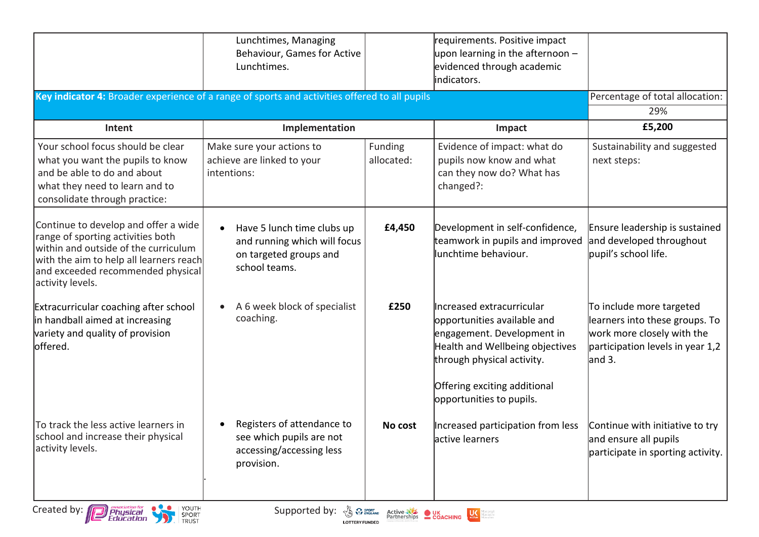|                                                                                                                                                                                                                       | Lunchtimes, Managing<br>Behaviour, Games for Active<br>Lunchtimes.                                                                                                                                                                                                                                                                      |                              | requirements. Positive impact<br>upon learning in the afternoon $-$<br>evidenced through academic<br>indicators.                                                                                                    |                                                                                                                                        |
|-----------------------------------------------------------------------------------------------------------------------------------------------------------------------------------------------------------------------|-----------------------------------------------------------------------------------------------------------------------------------------------------------------------------------------------------------------------------------------------------------------------------------------------------------------------------------------|------------------------------|---------------------------------------------------------------------------------------------------------------------------------------------------------------------------------------------------------------------|----------------------------------------------------------------------------------------------------------------------------------------|
| Key indicator 4: Broader experience of a range of sports and activities offered to all pupils                                                                                                                         |                                                                                                                                                                                                                                                                                                                                         |                              |                                                                                                                                                                                                                     | Percentage of total allocation:<br>29%                                                                                                 |
| Intent                                                                                                                                                                                                                | Implementation                                                                                                                                                                                                                                                                                                                          |                              | Impact                                                                                                                                                                                                              | £5,200                                                                                                                                 |
| Your school focus should be clear<br>what you want the pupils to know<br>and be able to do and about<br>what they need to learn and to<br>consolidate through practice:                                               | Make sure your actions to<br>achieve are linked to your<br>intentions:                                                                                                                                                                                                                                                                  | <b>Funding</b><br>allocated: | Evidence of impact: what do<br>pupils now know and what<br>can they now do? What has<br>changed?:                                                                                                                   | Sustainability and suggested<br>next steps:                                                                                            |
| Continue to develop and offer a wide<br>range of sporting activities both<br>within and outside of the curriculum<br>with the aim to help all learners reach<br>and exceeded recommended physical<br>activity levels. | Have 5 lunch time clubs up<br>$\bullet$<br>and running which will focus<br>on targeted groups and<br>school teams.                                                                                                                                                                                                                      | £4,450                       | Development in self-confidence,<br>teamwork in pupils and improved<br>lunchtime behaviour.                                                                                                                          | Ensure leadership is sustained<br>and developed throughout<br>pupil's school life.                                                     |
| Extracurricular coaching after school<br>in handball aimed at increasing<br>variety and quality of provision<br>offered.                                                                                              | A 6 week block of specialist<br>coaching.                                                                                                                                                                                                                                                                                               | £250                         | Increased extracurricular<br>opportunities available and<br>engagement. Development in<br>Health and Wellbeing objectives<br>through physical activity.<br>Offering exciting additional<br>opportunities to pupils. | To include more targeted<br>learners into these groups. To<br>work more closely with the<br>participation levels in year 1,2<br>and 3. |
| To track the less active learners in<br>school and increase their physical<br>activity levels.                                                                                                                        | Registers of attendance to<br>see which pupils are not<br>accessing/accessing less<br>provision.                                                                                                                                                                                                                                        | No cost                      | Increased participation from less<br>active learners                                                                                                                                                                | Continue with initiative to try<br>and ensure all pupils<br>participate in sporting activity.                                          |
| YOUTH<br>Created by: <b>Physical</b><br>SPORT<br>TRUST                                                                                                                                                                | Supported by: $\sqrt[3]{4}$ $\sqrt[3]{x}$ sport active $\frac{1}{2}$ $\frac{1}{2}$ $\frac{1}{2}$ $\frac{1}{2}$ $\frac{1}{2}$ $\frac{1}{2}$ $\frac{1}{2}$ $\frac{1}{2}$ $\frac{1}{2}$ $\frac{1}{2}$ $\frac{1}{2}$ $\frac{1}{2}$ $\frac{1}{2}$ $\frac{1}{2}$ $\frac{1}{2}$ $\frac{1}{2}$ $\frac{1}{2}$ $\frac{1$<br><b>LOTTERY FUNDED</b> |                              | sanepapa<br>Mireactive<br>Mireofter                                                                                                                                                                                 |                                                                                                                                        |



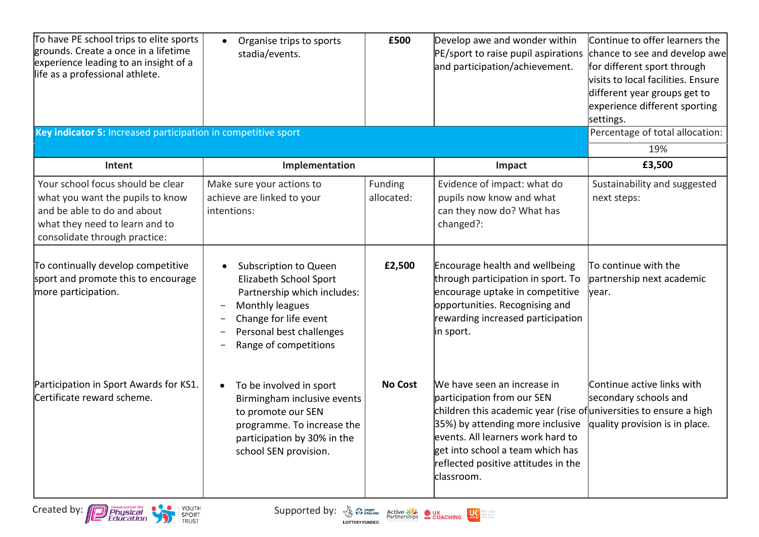| To have PE school trips to elite sports<br>grounds. Create a once in a lifetime<br>experience leading to an insight of a<br>life as a professional athlete.<br>Key indicator 5: Increased participation in competitive sport | Organise trips to sports<br>$\bullet$<br>stadia/events.                                                                                                                                              | £500                  | Develop awe and wonder within<br>PE/sport to raise pupil aspirations<br>and participation/achievement.                                                                                                                                                                                              | Continue to offer learners the<br>chance to see and develop awe<br>for different sport through<br>visits to local facilities. Ensure<br>different year groups get to<br>experience different sporting<br>settings.<br>Percentage of total allocation: |
|------------------------------------------------------------------------------------------------------------------------------------------------------------------------------------------------------------------------------|------------------------------------------------------------------------------------------------------------------------------------------------------------------------------------------------------|-----------------------|-----------------------------------------------------------------------------------------------------------------------------------------------------------------------------------------------------------------------------------------------------------------------------------------------------|-------------------------------------------------------------------------------------------------------------------------------------------------------------------------------------------------------------------------------------------------------|
|                                                                                                                                                                                                                              |                                                                                                                                                                                                      |                       |                                                                                                                                                                                                                                                                                                     | 19%                                                                                                                                                                                                                                                   |
| Intent                                                                                                                                                                                                                       | Implementation                                                                                                                                                                                       |                       | Impact                                                                                                                                                                                                                                                                                              | £3,500                                                                                                                                                                                                                                                |
| Your school focus should be clear<br>what you want the pupils to know<br>and be able to do and about<br>what they need to learn and to<br>consolidate through practice:                                                      | Make sure your actions to<br>achieve are linked to your<br>intentions:                                                                                                                               | Funding<br>allocated: | Evidence of impact: what do<br>pupils now know and what<br>can they now do? What has<br>changed?:                                                                                                                                                                                                   | Sustainability and suggested<br>next steps:                                                                                                                                                                                                           |
| To continually develop competitive<br>sport and promote this to encourage<br>more participation.                                                                                                                             | Subscription to Queen<br>Elizabeth School Sport<br>Partnership which includes:<br>Monthly leagues<br>$\qquad \qquad =$<br>Change for life event<br>Personal best challenges<br>Range of competitions | £2,500                | <b>Encourage health and wellbeing</b><br>through participation in sport. To<br>encourage uptake in competitive<br>opportunities. Recognising and<br>rewarding increased participation<br>in sport.                                                                                                  | To continue with the<br>partnership next academic<br>lyear.                                                                                                                                                                                           |
| Participation in Sport Awards for KS1.<br>Certificate reward scheme.                                                                                                                                                         | To be involved in sport<br>$\bullet$<br>Birmingham inclusive events<br>to promote our SEN<br>programme. To increase the<br>participation by 30% in the<br>school SEN provision.                      | <b>No Cost</b>        | We have seen an increase in<br>participation from our SEN<br>children this academic year (rise of universities to ensure a high<br>35%) by attending more inclusive<br>levents. All learners work hard to<br>get into school a team which has<br>reflected positive attitudes in the<br>lclassroom. | Continue active links with<br>secondary schools and<br>quality provision is in place.                                                                                                                                                                 |